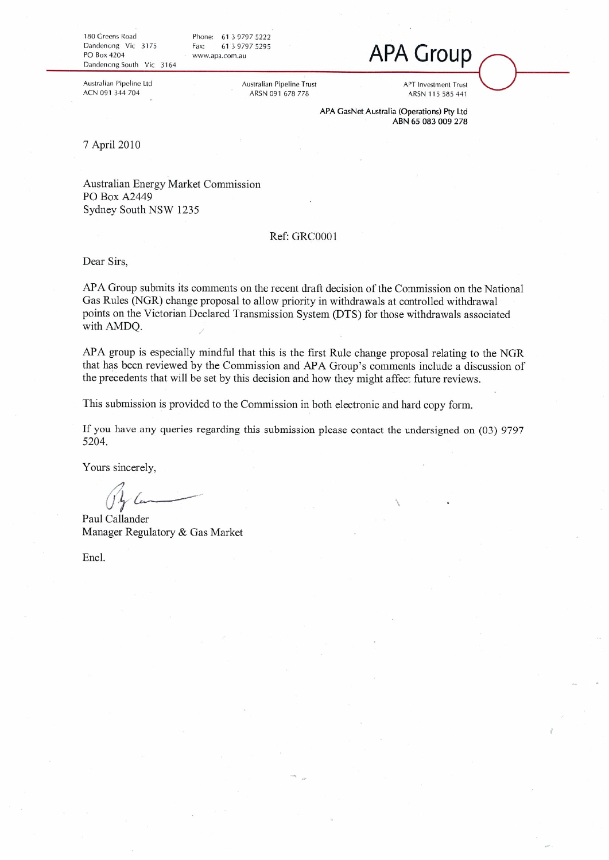180 Greens Road Dandenong Vic 3175 PO Box 4204 Dandenong South Vic 3164

Australian Pipeline Ltd

ACN 091 344 704

Phone: 61 3 9797 5222 Fax: 61 3 9797 5295 www.apa.com.au

> **Australian Pipeline Trust** ARSN 091 678 778

**APA Group** 

**APT** Investment Trust ARSN 115 585 441

APA GasNet Australia (Operations) Pty Ltd ABN 65 083 009 278

7 April 2010

Australian Energy Market Commission PO Box A2449 Sydney South NSW 1235

### Ref: GRC0001

Dear Sirs.

APA Group submits its comments on the recent draft decision of the Commission on the National Gas Rules (NGR) change proposal to allow priority in withdrawals at controlled withdrawal points on the Victorian Declared Transmission System (DTS) for those withdrawals associated with AMDO.

APA group is especially mindful that this is the first Rule change proposal relating to the NGR that has been reviewed by the Commission and APA Group's comments include a discussion of the precedents that will be set by this decision and how they might affect future reviews.

This submission is provided to the Commission in both electronic and hard copy form.

If you have any queries regarding this submission please contact the undersigned on (03) 9797 5204.

Yours sincerely,

Paul Callander Manager Regulatory & Gas Market

Encl.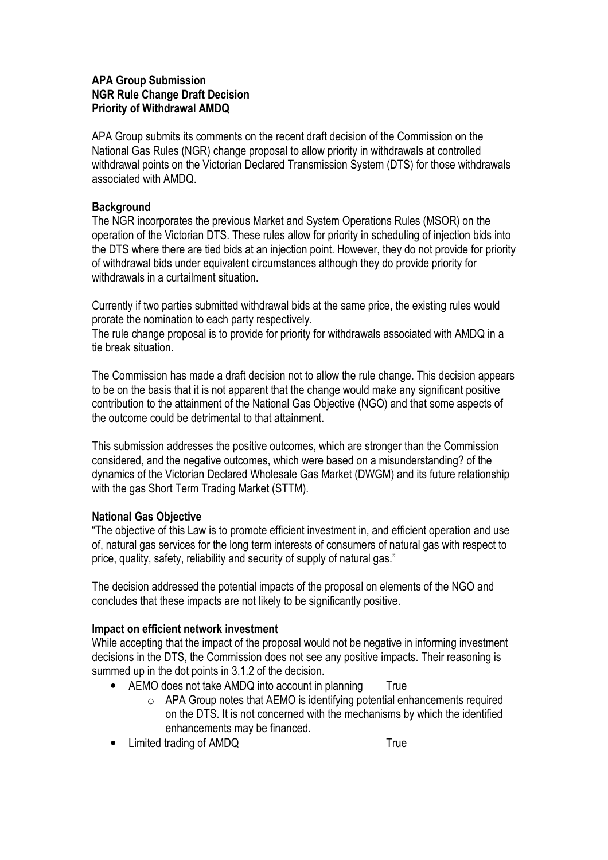# **APA Group Submission NGR Rule Change Draft Decision Priority of Withdrawal AMDQ**

APA Group submits its comments on the recent draft decision of the Commission on the National Gas Rules (NGR) change proposal to allow priority in withdrawals at controlled withdrawal points on the Victorian Declared Transmission System (DTS) for those withdrawals associated with AMDO

# **Background**

The NGR incorporates the previous Market and System Operations Rules (MSOR) on the operation of the Victorian DTS. These rules allow for priority in scheduling of injection bids into the DTS where there are tied bids at an injection point. However, they do not provide for priority of withdrawal bids under equivalent circumstances although they do provide priority for withdrawals in a curtailment situation.

Currently if two parties submitted withdrawal bids at the same price, the existing rules would prorate the nomination to each party respectively.

The rule change proposal is to provide for priority for withdrawals associated with AMDQ in a tie break situation

The Commission has made a draft decision not to allow the rule change. This decision appears to be on the basis that it is not apparent that the change would make any significant positive contribution to the attainment of the National Gas Objective (NGO) and that some aspects of the outcome could be detrimental to that attainment.

This submission addresses the positive outcomes, which are stronger than the Commission considered, and the negative outcomes, which were based on a misunderstanding? of the dynamics of the Victorian Declared Wholesale Gas Market (DWGM) and its future relationship with the gas Short Term Trading Market (STTM).

# **National Gas Objective**

"The objective of this Law is to promote efficient investment in, and efficient operation and use of, natural gas services for the long term interests of consumers of natural gas with respect to price, quality, safety, reliability and security of supply of natural gas."

The decision addressed the potential impacts of the proposal on elements of the NGO and concludes that these impacts are not likely to be significantly positive.

# Impact on efficient network investment

While accepting that the impact of the proposal would not be negative in informing investment decisions in the DTS, the Commission does not see any positive impacts. Their reasoning is summed up in the dot points in 3.1.2 of the decision.

- AEMO does not take AMDQ into account in planning True
	- $\circ$  APA Group notes that AEMO is identifying potential enhancements required on the DTS. It is not concerned with the mechanisms by which the identified enhancements may be financed.
- Limited trading of AMDQ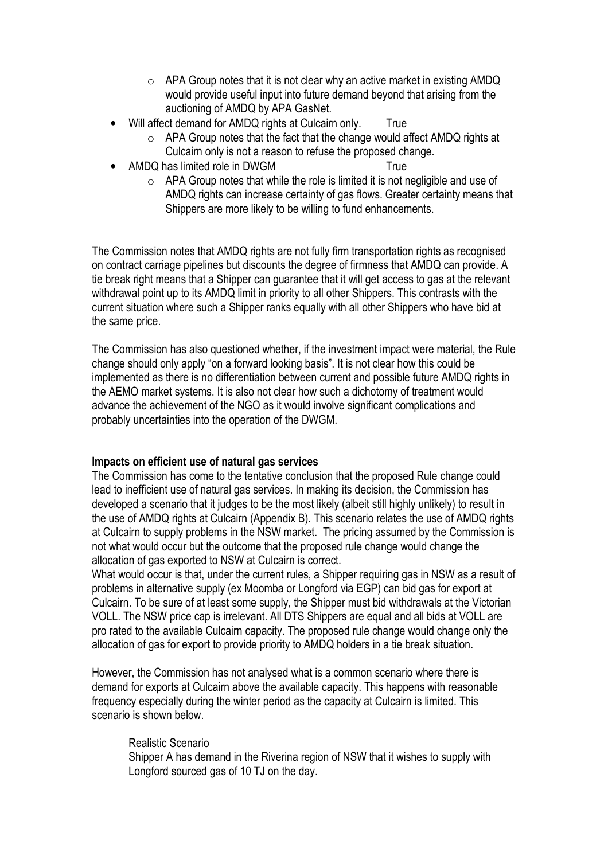- $\circ$  APA Group notes that it is not clear why an active market in existing AMDQ would provide useful input into future demand beyond that arising from the auctioning of AMDQ by APA GasNet.
- Will affect demand for AMDQ rights at Culcairn only. True
	- o APA Group notes that the fact that the change would affect AMDQ rights at Culcairn only is not a reason to refuse the proposed change.
- AMDO has limited role in DWGM
	- $\circ$  APA Group notes that while the role is limited it is not negligible and use of AMDQ rights can increase certainty of gas flows. Greater certainty means that Shippers are more likely to be willing to fund enhancements.

True

The Commission notes that AMDQ rights are not fully firm transportation rights as recognised on contract carriage pipelines but discounts the degree of firmness that AMDQ can provide. A tie break right means that a Shipper can guarantee that it will get access to gas at the relevant withdrawal point up to its AMDQ limit in priority to all other Shippers. This contrasts with the current situation where such a Shipper ranks equally with all other Shippers who have bid at the same price.

The Commission has also questioned whether, if the investment impact were material, the Rule change should only apply "on a forward looking basis". It is not clear how this could be implemented as there is no differentiation between current and possible future AMDQ rights in the AEMO market systems. It is also not clear how such a dichotomy of treatment would advance the achievement of the NGO as it would involve significant complications and probably uncertainties into the operation of the DWGM.

# Impacts on efficient use of natural gas services

The Commission has come to the tentative conclusion that the proposed Rule change could lead to inefficient use of natural gas services. In making its decision, the Commission has developed a scenario that it judges to be the most likely (albeit still highly unlikely) to result in the use of AMDQ rights at Culcairn (Appendix B). This scenario relates the use of AMDQ rights at Culcairn to supply problems in the NSW market. The pricing assumed by the Commission is not what would occur but the outcome that the proposed rule change would change the allocation of gas exported to NSW at Culcairn is correct.

What would occur is that, under the current rules, a Shipper requiring gas in NSW as a result of problems in alternative supply (ex Moomba or Longford via EGP) can bid gas for export at Culcairn. To be sure of at least some supply, the Shipper must bid withdrawals at the Victorian VOLL. The NSW price cap is irrelevant. All DTS Shippers are equal and all bids at VOLL are pro rated to the available Culcairn capacity. The proposed rule change would change only the allocation of gas for export to provide priority to AMDQ holders in a tie break situation.

However, the Commission has not analysed what is a common scenario where there is demand for exports at Culcairn above the available capacity. This happens with reasonable frequency especially during the winter period as the capacity at Culcairn is limited. This scenario is shown below.

### Realistic Scenario

Shipper A has demand in the Riverina region of NSW that it wishes to supply with Longford sourced gas of 10 TJ on the day.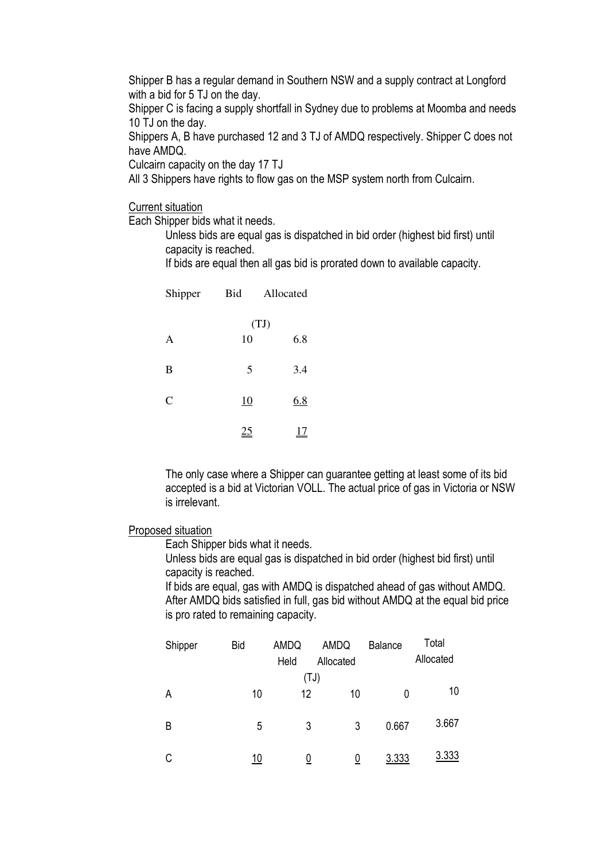Shipper B has a regular demand in Southern NSW and a supply contract at Longford with a bid for 5 TJ on the day.

Shipper C is facing a supply shortfall in Sydney due to problems at Moomba and needs 10 TJ on the day.

Shippers A, B have purchased 12 and 3 TJ of AMDQ respectively. Shipper C does not have AMDQ.

Culcairn capacity on the day 17 TJ

All 3 Shippers have rights to flow gas on the MSP system north from Culcairn.

**Current situation** 

Each Shipper bids what it needs.

Unless bids are equal gas is dispatched in bid order (highest bid first) until capacity is reached.

If bids are equal then all gas bid is prorated down to available capacity.

| Shipper       | Bid  | Allocated  |  |
|---------------|------|------------|--|
|               | (TJ) |            |  |
| A             | 10   | 6.8        |  |
| B             | 5    | 3.4        |  |
| $\mathcal{C}$ | 10   | <u>6.8</u> |  |
|               |      |            |  |

The only case where a Shipper can guarantee getting at least some of its bid accepted is a bid at Victorian VOLL. The actual price of gas in Victoria or NSW is irrelevant

#### Proposed situation

Each Shipper bids what it needs.

Unless bids are equal gas is dispatched in bid order (highest bid first) until capacity is reached.

If bids are equal, gas with AMDQ is dispatched ahead of gas without AMDQ. After AMDQ bids satisfied in full, gas bid without AMDQ at the equal bid price is pro rated to remaining capacity.

| Shipper | <b>Bid</b> | AMDQ<br>Held | AMDQ<br>Allocated | <b>Balance</b> | Total<br>Allocated |
|---------|------------|--------------|-------------------|----------------|--------------------|
| A       | 10         | 12           | (TJ)<br>10        | 0              | 10                 |
| B       | 5          | 3            | 3                 | 0.667          | 3.667              |
| C       | 10         | 0            |                   | 3.333          | 3.333              |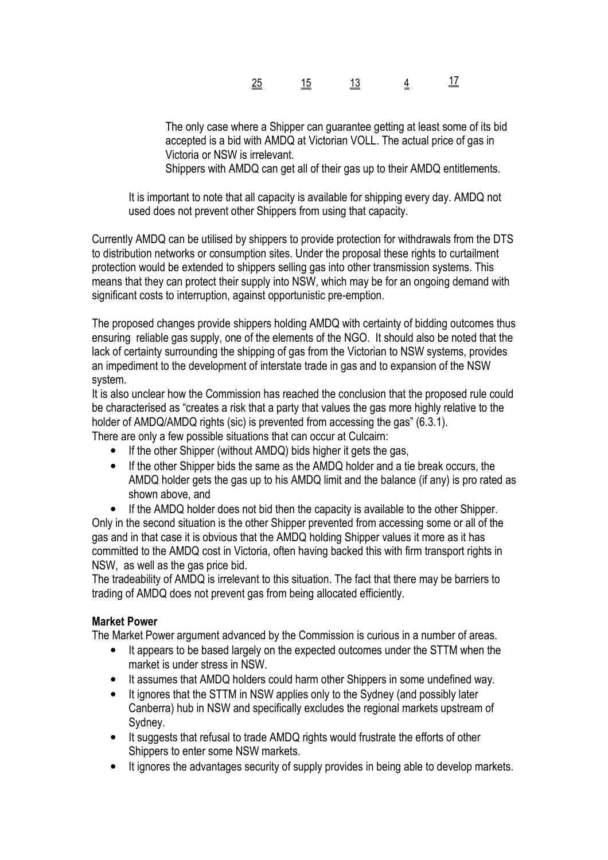| ≕ | ════ | ____ | _ |  |
|---|------|------|---|--|
|   |      |      |   |  |

The only case where a Shipper can guarantee getting at least some of its bid accepted is a bid with AMDQ at Victorian VOLL. The actual price of gas in Victoria or NSW is irrelevant.

Shippers with AMDQ can get all of their gas up to their AMDQ entitlements.

It is important to note that all capacity is available for shipping every day. AMDQ not used does not prevent other Shippers from using that capacity.

Currently AMDQ can be utilised by shippers to provide protection for withdrawals from the DTS to distribution networks or consumption sites. Under the proposal these rights to curtailment protection would be extended to shippers selling gas into other transmission systems. This means that they can protect their supply into NSW, which may be for an ongoing demand with significant costs to interruption, against opportunistic pre-emption.

The proposed changes provide shippers holding AMDQ with certainty of bidding outcomes thus ensuring reliable gas supply, one of the elements of the NGO. It should also be noted that the lack of certainty surrounding the shipping of gas from the Victorian to NSW systems, provides an impediment to the development of interstate trade in gas and to expansion of the NSW system.

It is also unclear how the Commission has reached the conclusion that the proposed rule could be characterised as "creates a risk that a party that values the gas more highly relative to the holder of AMDQ/AMDQ rights (sic) is prevented from accessing the gas" (6.3.1).

There are only a few possible situations that can occur at Culcairn:

- If the other Shipper (without AMDQ) bids higher it gets the gas,  $\bullet$
- If the other Shipper bids the same as the AMDQ holder and a tie break occurs, the  $\bullet$ AMDQ holder gets the gas up to his AMDQ limit and the balance (if any) is pro rated as shown above, and

If the AMDQ holder does not bid then the capacity is available to the other Shipper. Only in the second situation is the other Shipper prevented from accessing some or all of the gas and in that case it is obvious that the AMDQ holding Shipper values it more as it has committed to the AMDQ cost in Victoria, often having backed this with firm transport rights in NSW, as well as the gas price bid.

The tradeability of AMDQ is irrelevant to this situation. The fact that there may be barriers to trading of AMDQ does not prevent gas from being allocated efficiently.

# **Market Power**

The Market Power argument advanced by the Commission is curious in a number of areas.

- It appears to be based largely on the expected outcomes under the STTM when the market is under stress in NSW.
- It assumes that AMDQ holders could harm other Shippers in some undefined way.  $\bullet$
- It ignores that the STTM in NSW applies only to the Sydney (and possibly later  $\bullet$ Canberra) hub in NSW and specifically excludes the regional markets upstream of Svdnev.
- It suggests that refusal to trade AMDQ rights would frustrate the efforts of other  $\bullet$ Shippers to enter some NSW markets.
- $\bullet$ It ignores the advantages security of supply provides in being able to develop markets.